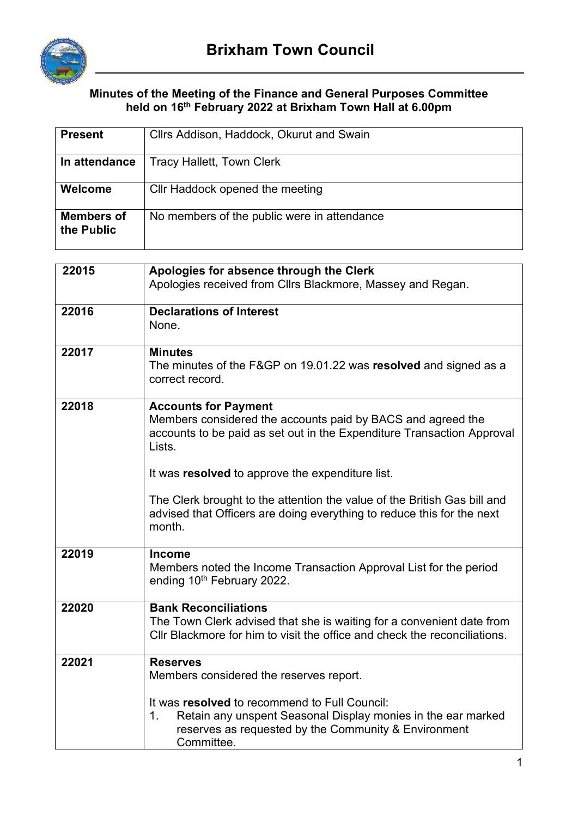

## **Minutes of the Meeting of the Finance and General Purposes Committee held on 16th February 2022 at Brixham Town Hall at 6.00pm**

| <b>Present</b>                  | Cllrs Addison, Haddock, Okurut and Swain                                                                                                                                                                                                                                                                                                                                                 |
|---------------------------------|------------------------------------------------------------------------------------------------------------------------------------------------------------------------------------------------------------------------------------------------------------------------------------------------------------------------------------------------------------------------------------------|
| In attendance                   | <b>Tracy Hallett, Town Clerk</b>                                                                                                                                                                                                                                                                                                                                                         |
| Welcome                         | Cllr Haddock opened the meeting                                                                                                                                                                                                                                                                                                                                                          |
| <b>Members of</b><br>the Public | No members of the public were in attendance                                                                                                                                                                                                                                                                                                                                              |
|                                 |                                                                                                                                                                                                                                                                                                                                                                                          |
| 22015                           | Apologies for absence through the Clerk<br>Apologies received from Cllrs Blackmore, Massey and Regan.                                                                                                                                                                                                                                                                                    |
| 22016                           | <b>Declarations of Interest</b><br>None.                                                                                                                                                                                                                                                                                                                                                 |
| 22017                           | <b>Minutes</b><br>The minutes of the F&GP on 19.01.22 was resolved and signed as a<br>correct record.                                                                                                                                                                                                                                                                                    |
| 22018                           | <b>Accounts for Payment</b><br>Members considered the accounts paid by BACS and agreed the<br>accounts to be paid as set out in the Expenditure Transaction Approval<br>Lists.<br>It was resolved to approve the expenditure list.<br>The Clerk brought to the attention the value of the British Gas bill and<br>advised that Officers are doing everything to reduce this for the next |
|                                 | month.                                                                                                                                                                                                                                                                                                                                                                                   |
| 22019                           | <b>Income</b><br>Members noted the Income Transaction Approval List for the period<br>ending 10 <sup>th</sup> February 2022.                                                                                                                                                                                                                                                             |
| 22020                           | <b>Bank Reconciliations</b><br>The Town Clerk advised that she is waiting for a convenient date from<br>CIIr Blackmore for him to visit the office and check the reconciliations.                                                                                                                                                                                                        |
| 22021                           | <b>Reserves</b><br>Members considered the reserves report.                                                                                                                                                                                                                                                                                                                               |
|                                 | It was resolved to recommend to Full Council:<br>Retain any unspent Seasonal Display monies in the ear marked<br>1.<br>reserves as requested by the Community & Environment<br>Committee.                                                                                                                                                                                                |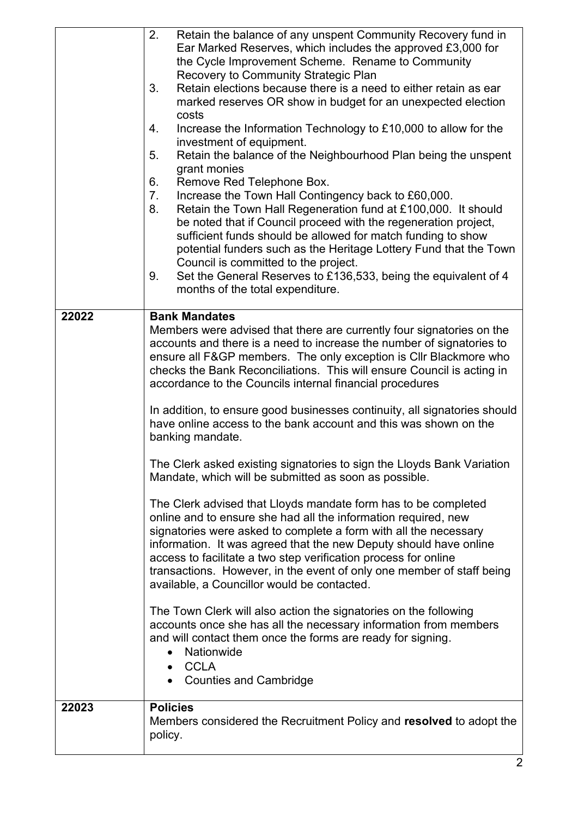| 22023 | <b>Policies</b><br>Members considered the Recruitment Policy and resolved to adopt the<br>policy.                                                                                                                                                                                                                                                                                                                                                                                                                                                                                                                                                                                                                                                                                                                                                                                                                                                                                                                                                                                                                  |
|-------|--------------------------------------------------------------------------------------------------------------------------------------------------------------------------------------------------------------------------------------------------------------------------------------------------------------------------------------------------------------------------------------------------------------------------------------------------------------------------------------------------------------------------------------------------------------------------------------------------------------------------------------------------------------------------------------------------------------------------------------------------------------------------------------------------------------------------------------------------------------------------------------------------------------------------------------------------------------------------------------------------------------------------------------------------------------------------------------------------------------------|
|       | The Clerk asked existing signatories to sign the Lloyds Bank Variation<br>Mandate, which will be submitted as soon as possible.<br>The Clerk advised that Lloyds mandate form has to be completed<br>online and to ensure she had all the information required, new<br>signatories were asked to complete a form with all the necessary<br>information. It was agreed that the new Deputy should have online<br>access to facilitate a two step verification process for online<br>transactions. However, in the event of only one member of staff being<br>available, a Councillor would be contacted.<br>The Town Clerk will also action the signatories on the following<br>accounts once she has all the necessary information from members<br>and will contact them once the forms are ready for signing.<br>Nationwide<br>$\bullet$<br><b>CCLA</b><br>$\bullet$<br><b>Counties and Cambridge</b>                                                                                                                                                                                                             |
| 22022 | <b>Bank Mandates</b><br>Members were advised that there are currently four signatories on the<br>accounts and there is a need to increase the number of signatories to<br>ensure all F&GP members. The only exception is Cllr Blackmore who<br>checks the Bank Reconciliations. This will ensure Council is acting in<br>accordance to the Councils internal financial procedures<br>In addition, to ensure good businesses continuity, all signatories should<br>have online access to the bank account and this was shown on the<br>banking mandate.                                                                                                                                                                                                                                                                                                                                                                                                                                                                                                                                                             |
|       | 2.<br>Retain the balance of any unspent Community Recovery fund in<br>Ear Marked Reserves, which includes the approved £3,000 for<br>the Cycle Improvement Scheme. Rename to Community<br>Recovery to Community Strategic Plan<br>Retain elections because there is a need to either retain as ear<br>3.<br>marked reserves OR show in budget for an unexpected election<br>costs<br>Increase the Information Technology to £10,000 to allow for the<br>4.<br>investment of equipment.<br>5.<br>Retain the balance of the Neighbourhood Plan being the unspent<br>grant monies<br>6.<br>Remove Red Telephone Box.<br>7.<br>Increase the Town Hall Contingency back to £60,000.<br>Retain the Town Hall Regeneration fund at £100,000. It should<br>8.<br>be noted that if Council proceed with the regeneration project,<br>sufficient funds should be allowed for match funding to show<br>potential funders such as the Heritage Lottery Fund that the Town<br>Council is committed to the project.<br>Set the General Reserves to £136,533, being the equivalent of 4<br>9.<br>months of the total expenditure. |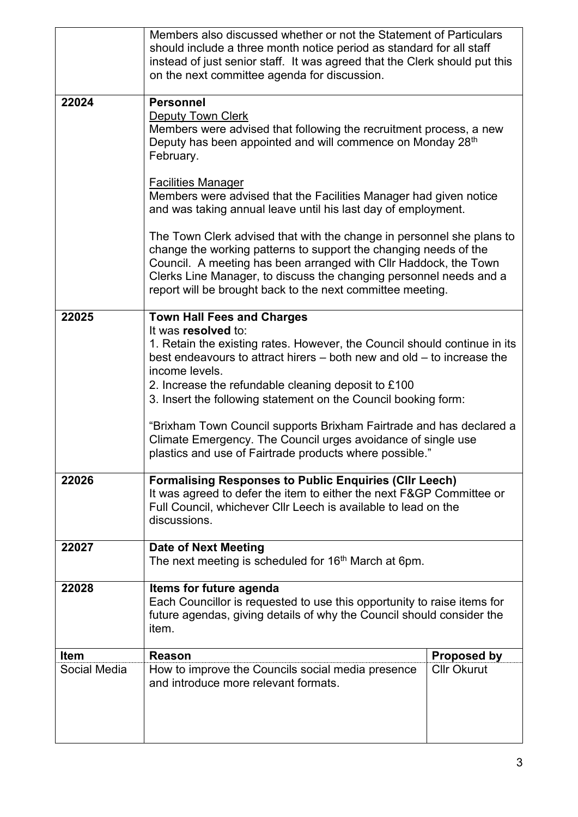|              | Members also discussed whether or not the Statement of Particulars<br>should include a three month notice period as standard for all staff<br>instead of just senior staff. It was agreed that the Clerk should put this<br>on the next committee agenda for discussion.                                                                                                                                                                                                                                                                                         |                    |  |
|--------------|------------------------------------------------------------------------------------------------------------------------------------------------------------------------------------------------------------------------------------------------------------------------------------------------------------------------------------------------------------------------------------------------------------------------------------------------------------------------------------------------------------------------------------------------------------------|--------------------|--|
| 22024        | <b>Personnel</b><br><b>Deputy Town Clerk</b><br>Members were advised that following the recruitment process, a new<br>Deputy has been appointed and will commence on Monday 28 <sup>th</sup><br>February.                                                                                                                                                                                                                                                                                                                                                        |                    |  |
|              | <b>Facilities Manager</b><br>Members were advised that the Facilities Manager had given notice<br>and was taking annual leave until his last day of employment.                                                                                                                                                                                                                                                                                                                                                                                                  |                    |  |
|              | The Town Clerk advised that with the change in personnel she plans to<br>change the working patterns to support the changing needs of the<br>Council. A meeting has been arranged with Cllr Haddock, the Town<br>Clerks Line Manager, to discuss the changing personnel needs and a<br>report will be brought back to the next committee meeting.                                                                                                                                                                                                                |                    |  |
| 22025        | <b>Town Hall Fees and Charges</b><br>It was resolved to:<br>1. Retain the existing rates. However, the Council should continue in its<br>best endeavours to attract hirers $-$ both new and old $-$ to increase the<br>income levels.<br>2. Increase the refundable cleaning deposit to £100<br>3. Insert the following statement on the Council booking form:<br>"Brixham Town Council supports Brixham Fairtrade and has declared a<br>Climate Emergency. The Council urges avoidance of single use<br>plastics and use of Fairtrade products where possible." |                    |  |
| 22026        | <b>Formalising Responses to Public Enquiries (CIIr Leech)</b><br>It was agreed to defer the item to either the next F&GP Committee or<br>Full Council, whichever Cllr Leech is available to lead on the<br>discussions.                                                                                                                                                                                                                                                                                                                                          |                    |  |
| 22027        | <b>Date of Next Meeting</b><br>The next meeting is scheduled for 16 <sup>th</sup> March at 6pm.                                                                                                                                                                                                                                                                                                                                                                                                                                                                  |                    |  |
| 22028        | Items for future agenda<br>Each Councillor is requested to use this opportunity to raise items for<br>future agendas, giving details of why the Council should consider the<br>item.                                                                                                                                                                                                                                                                                                                                                                             |                    |  |
| <b>Item</b>  | <b>Reason</b>                                                                                                                                                                                                                                                                                                                                                                                                                                                                                                                                                    | <b>Proposed by</b> |  |
| Social Media | How to improve the Councils social media presence<br>and introduce more relevant formats.                                                                                                                                                                                                                                                                                                                                                                                                                                                                        | <b>Cllr Okurut</b> |  |